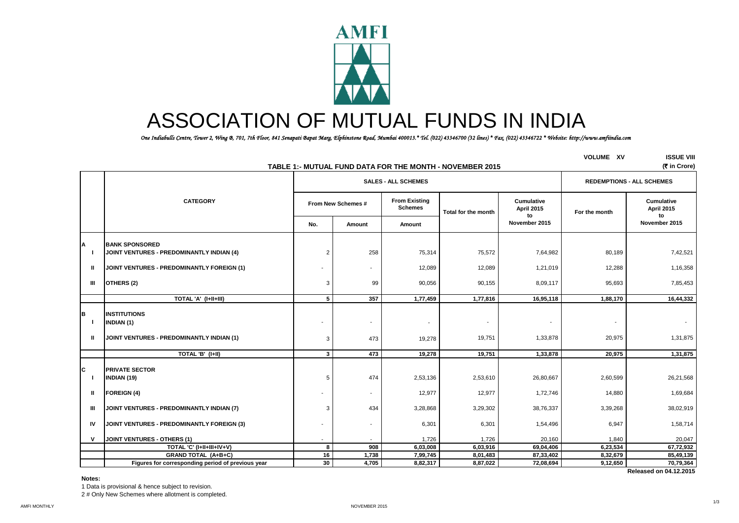

# ASSOCIATION OF MUTUAL FUNDS IN INDIA

 *One Indiabulls Centre, Tower 2, Wing B, 701, 7th Floor, 841 Senapati Bapat Marg, Elphinstone Road, Mumbai 400013.\* Tel. (022) 43346700 (32 lines) \* Fax. (022) 43346722 \* Website: http://www.amfiindia.com*

|                                     | TABLE 1:- MUTUAL FUND DATA FOR THE MONTH - NOVEMBER 2015                              | <b>VOLUME XV</b>   | <b>ISSUE VIII</b><br>(そ in Crore) |                                        |                     |                                       |               |                                       |
|-------------------------------------|---------------------------------------------------------------------------------------|--------------------|-----------------------------------|----------------------------------------|---------------------|---------------------------------------|---------------|---------------------------------------|
|                                     |                                                                                       |                    | <b>SALES - ALL SCHEMES</b>        | <b>REDEMPTIONS - ALL SCHEMES</b>       |                     |                                       |               |                                       |
|                                     | <b>CATEGORY</b>                                                                       | From New Schemes # |                                   | <b>From Existing</b><br><b>Schemes</b> | Total for the month | <b>Cumulative</b><br>April 2015<br>to | For the month | <b>Cumulative</b><br>April 2015<br>to |
|                                     |                                                                                       | No.                | Amount                            | Amount                                 |                     | November 2015                         |               | November 2015                         |
| А                                   | <b>IBANK SPONSORED</b><br>JOINT VENTURES - PREDOMINANTLY INDIAN (4)                   | $\overline{2}$     | 258                               | 75,314                                 | 75,572              | 7,64,982                              | 80,189        | 7,42,521                              |
| $\mathbf{u}$                        | JOINT VENTURES - PREDOMINANTLY FOREIGN (1)                                            |                    | $\mathbf{r}$                      | 12,089                                 | 12,089              | 1,21,019                              | 12,288        | 1,16,358                              |
| Ш                                   | OTHERS (2)                                                                            | 3                  | 99                                | 90,056                                 | 90,155              | 8,09,117                              | 95,693        | 7,85,453                              |
|                                     | TOTAL 'A' (I+II+III)                                                                  | 5                  | 357                               | 1,77,459                               | 1,77,816            | 16,95,118                             | 1,88,170      | 16,44,332                             |
| B<br>$\blacksquare$<br>$\mathbf{u}$ | <b>INSTITUTIONS</b><br><b>INDIAN (1)</b><br>JOINT VENTURES - PREDOMINANTLY INDIAN (1) | 3                  | 473                               | $\overline{\phantom{a}}$<br>19,278     | 19,751              | 1,33,878                              | 20,975        | 1,31,875                              |
|                                     | TOTAL 'B' (I+II)                                                                      | $\mathbf{3}$       | 473                               | 19,278                                 | 19,751              | 1,33,878                              | 20,975        | 1,31,875                              |
| C.<br>$\blacksquare$                | <b>PRIVATE SECTOR</b><br><b>INDIAN (19)</b>                                           | 5                  | 474                               | 2,53,136                               | 2,53,610            | 26,80,667                             | 2,60,599      | 26,21,568                             |
| ш                                   | <b>FOREIGN (4)</b>                                                                    |                    | $\sim$                            | 12,977                                 | 12,977              | 1,72,746                              | 14,880        | 1,69,684                              |
| Ш                                   | JOINT VENTURES - PREDOMINANTLY INDIAN (7)                                             | 3                  | 434                               | 3,28,868                               | 3,29,302            | 38,76,337                             | 3,39,268      | 38,02,919                             |
| IV                                  | JOINT VENTURES - PREDOMINANTLY FOREIGN (3)                                            |                    |                                   | 6,301                                  | 6,301               | 1,54,496                              | 6,947         | 1,58,714                              |
| $\mathsf{v}$                        | JOINT VENTURES - OTHERS (1)                                                           |                    |                                   | 1,726                                  | 1,726               | 20,160                                | 1,840         | 20,047                                |
|                                     | TOTAL 'C' (I+II+III+IV+V)                                                             | 8                  | 908                               | 6,03,008                               | 6,03,916            | 69,04,406                             | 6,23,534      | 67,72,932                             |
|                                     | <b>GRAND TOTAL (A+B+C)</b>                                                            | 16                 | 1,738                             | 7,99,745                               | 8,01,483            | 87,33,402                             | 8,32,679      | 85,49,139                             |
|                                     | Figures for corresponding period of previous year                                     | 30                 | 4,705                             | 8,82,317                               | 8,87,022            | 72,08,694                             | 9,12,650      | 70,79,364                             |
|                                     |                                                                                       |                    |                                   |                                        |                     |                                       |               | Released on 04.12.2015                |

**Notes:**

1 Data is provisional & hence subject to revision. 2 # Only New Schemes where allotment is completed.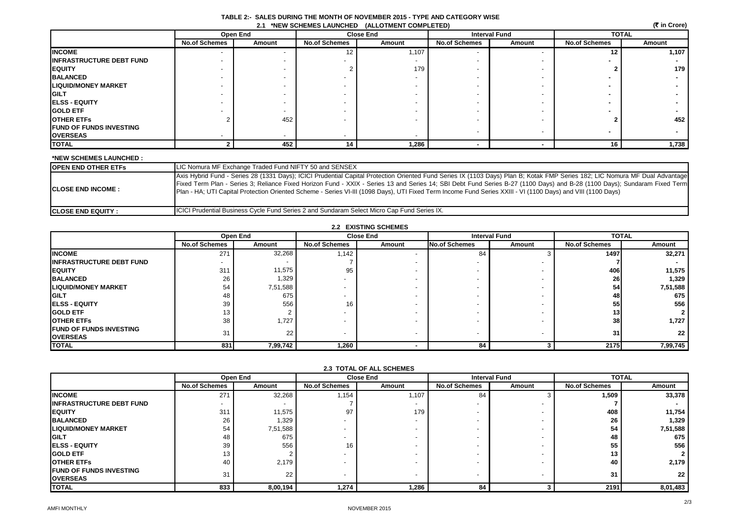| (रैं in Crore)<br>2.1 *NEW SCHEMES LAUNCHED (ALLOTMENT COMPLETED) |                      |          |                          |                  |                      |                          |                      |              |  |
|-------------------------------------------------------------------|----------------------|----------|--------------------------|------------------|----------------------|--------------------------|----------------------|--------------|--|
|                                                                   |                      | Open End |                          | <b>Close End</b> |                      | <b>Interval Fund</b>     |                      | <b>TOTAL</b> |  |
|                                                                   | <b>No.of Schemes</b> | Amount   | <b>No.of Schemes</b>     | Amount           | <b>No.of Schemes</b> | Amount                   | <b>No.of Schemes</b> | Amount       |  |
| <b>INCOME</b>                                                     |                      |          | 12                       | 1,107            |                      |                          | 12                   | 1,107        |  |
| <b>INFRASTRUCTURE DEBT FUND</b>                                   |                      |          |                          |                  |                      |                          |                      |              |  |
| <b>EQUITY</b>                                                     |                      |          |                          | 179              |                      |                          |                      | 179          |  |
| <b>BALANCED</b>                                                   |                      |          |                          |                  |                      |                          |                      |              |  |
| <b>LIQUID/MONEY MARKET</b>                                        |                      |          | $\overline{\phantom{0}}$ |                  |                      |                          |                      |              |  |
| <b>GILT</b>                                                       |                      |          | $\overline{\phantom{a}}$ |                  |                      |                          |                      |              |  |
| <b>ELSS - EQUITY</b>                                              |                      |          | $\overline{\phantom{a}}$ |                  |                      |                          |                      |              |  |
| <b>GOLD ETF</b>                                                   |                      |          | $\overline{\phantom{0}}$ |                  |                      |                          |                      |              |  |
| <b>OTHER ETFS</b>                                                 |                      | 452      | $\overline{\phantom{0}}$ |                  |                      |                          |                      | 452          |  |
| <b>FUND OF FUNDS INVESTING</b>                                    |                      |          |                          |                  |                      |                          |                      |              |  |
| <b>OVERSEAS</b>                                                   |                      |          | $\overline{\phantom{0}}$ |                  |                      | $\overline{\phantom{a}}$ |                      |              |  |
| <b>TOTAL</b>                                                      |                      | 452      | 14                       | 1,286            |                      |                          | 16                   | 1,738        |  |

#### **TABLE 2:- SALES DURING THE MONTH OF NOVEMBER 2015 - TYPE AND CATEGORY WISE 2.1 \*NEW SCHEMES LAUNCHED (ALLOTMENT COMPLETED)**

## **\*NEW SCHEMES LAUNCHED :**

| IOPEN END OTHER ETFs       | LIC Nomura MF Exchange Traded Fund NIFTY 50 and SENSEX                                                                                                                                                                                                                                                                                                                                                                                                                                                                    |
|----------------------------|---------------------------------------------------------------------------------------------------------------------------------------------------------------------------------------------------------------------------------------------------------------------------------------------------------------------------------------------------------------------------------------------------------------------------------------------------------------------------------------------------------------------------|
| <b>ICLOSE END INCOME :</b> | Axis Hybrid Fund - Series 28 (1331 Days); ICICI Prudential Capital Protection Oriented Fund Series IX (1103 Days) Plan B; Kotak FMP Series 182; LIC Nomura MF Dual Advantage<br>Fixed Term Plan - Series 3; Reliance Fixed Horizon Fund - XXIX - Series 13 and Series 14; SBI Debt Fund Series B-27 (1100 Days) and B-28 (1100 Days); Sundaram Fixed Term<br>Plan - HA; UTI Capital Protection Oriented Scheme - Series VI-III (1098 Days), UTI Fixed Term Income Fund Series XXIII - VI (1100 Days) and VIII (1100 Days) |
| <b>ICLOSE END EQUITY :</b> | <b>ICICI Prudential Business Cycle Fund Series 2 and Sundaram Select Micro Cap Fund Series IX.</b>                                                                                                                                                                                                                                                                                                                                                                                                                        |

| <b>2.2 EXISTING SCHEMES</b>     |                      |                 |                          |        |                      |        |                      |                 |  |
|---------------------------------|----------------------|-----------------|--------------------------|--------|----------------------|--------|----------------------|-----------------|--|
|                                 |                      | Open End        | <b>Close End</b>         |        | <b>Interval Fund</b> |        | <b>TOTAL</b>         |                 |  |
|                                 | <b>No.of Schemes</b> | Amount          | <b>No.of Schemes</b>     | Amount | <b>No.of Schemes</b> | Amount | <b>No.of Schemes</b> | Amount          |  |
| <b>INCOME</b>                   | 271                  | 32,268          | 1,142                    |        | 84                   |        | 1497                 | 32,271          |  |
| <b>INFRASTRUCTURE DEBT FUND</b> |                      |                 |                          |        |                      |        |                      |                 |  |
| <b>EQUITY</b>                   | 311                  | 11,575          | 95                       |        |                      |        | 406                  | 11,575          |  |
| <b>BALANCED</b>                 | 26                   | 1,329           | $\overline{\phantom{a}}$ |        |                      |        | 26                   | 1,329           |  |
| <b>LIQUID/MONEY MARKET</b>      | 54                   | 7,51,588        | $\overline{\phantom{a}}$ |        |                      |        | 54                   | 7,51,588        |  |
| <b>GILT</b>                     | 48                   | 675             | $\overline{\phantom{a}}$ |        |                      |        | 48                   | 675             |  |
| <b>IELSS - EQUITY</b>           | 39                   | 556             | 16                       |        |                      |        | 55                   | 556             |  |
| <b>GOLD ETF</b>                 | 13                   |                 |                          |        |                      |        | 13                   |                 |  |
| <b>OTHER ETFS</b>               | 38                   | 1,727           |                          |        |                      |        | 38                   | 1,727           |  |
| <b>FUND OF FUNDS INVESTING</b>  | 31                   | 22 <sub>1</sub> | $\overline{\phantom{0}}$ |        |                      |        | 31                   | 22 <sub>1</sub> |  |
| <b>OVERSEAS</b>                 |                      |                 |                          |        |                      |        |                      |                 |  |
| <b>TOTAL</b>                    | 831                  | 7,99,742        | 1,260                    |        | 84                   |        | 2175                 | 7,99,745        |  |

|                                                     |                      | Open End        | <b>Close End</b>     |        |                          | <b>Interval Fund</b> |                      | <b>TOTAL</b> |  |
|-----------------------------------------------------|----------------------|-----------------|----------------------|--------|--------------------------|----------------------|----------------------|--------------|--|
|                                                     | <b>No.of Schemes</b> | Amount          | <b>No.of Schemes</b> | Amount | <b>No.of Schemes</b>     | Amount               | <b>No.of Schemes</b> | Amount       |  |
| <b>INCOME</b>                                       | 271                  | 32,268          | 1,154                | 107    | 84                       |                      | 1,509                | 33,378       |  |
| <b>IINFRASTRUCTURE DEBT FUND</b>                    |                      |                 |                      |        |                          |                      |                      |              |  |
| <b>IEQUITY</b>                                      | 311                  | 11,575          | 97                   | 179    |                          |                      | 408                  | 11,754       |  |
| <b>BALANCED</b>                                     | 26                   | 1,329           |                      |        |                          |                      | 26                   | 1,329        |  |
| <b>ILIQUID/MONEY MARKET</b>                         | 54                   | 7,51,588        |                      |        |                          |                      | 54                   | 7,51,588     |  |
| <b>GILT</b>                                         | 48                   | 675             |                      |        |                          |                      | 48                   | 675          |  |
| <b>IELSS - EQUITY</b>                               | 39                   | 556             | 16                   |        |                          |                      | 55                   | 556          |  |
| <b>IGOLD ETF</b>                                    | 13.                  |                 |                      |        |                          |                      | 13                   | $\mathbf{2}$ |  |
| <b>IOTHER ETFS</b>                                  | 40                   | 2,179           |                      |        |                          |                      | 40                   | 2,179        |  |
| <b>IFUND OF FUNDS INVESTING</b><br><b>IOVERSEAS</b> | 31                   | 22 <sub>1</sub> |                      |        | $\overline{\phantom{a}}$ |                      | 31                   | 22           |  |
| <b>TOTAL</b>                                        | 833                  | 8,00,194        | 1,274                | 286, ا | 84                       |                      | 2191                 | 8,01,483     |  |

## **2.3 TOTAL OF ALL SCHEMES**

#### AMFI MONTHLY NOVEMBER 2015